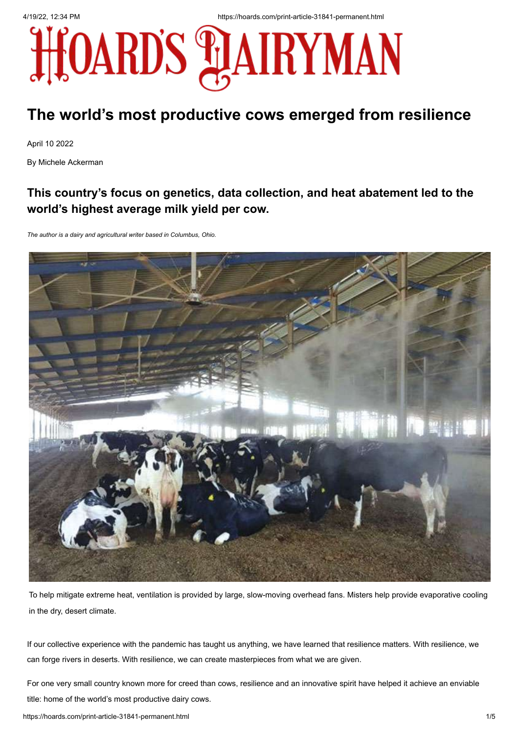

# **The world's most productive cows emerged from resilience**

April 10 2022

By Michele Ackerman

## **This country's focus on genetics, data collection, and heat abatement led to the world's highest average milk yield per cow.**

*The author is a dairy and agricultural writer based in Columbus, Ohio.*



To help mitigate extreme heat, ventilation is provided by large, slow-moving overhead fans. Misters help provide evaporative cooling in the dry, desert climate.

If our collective experience with the pandemic has taught us anything, we have learned that resilience matters. With resilience, we can forge rivers in deserts. With resilience, we can create masterpieces from what we are given.

For one very small country known more for creed than cows, resilience and an innovative spirit have helped it achieve an enviable title: home of the world's most productive dairy cows.

https://hoards.com/print-article-31841-permanent.html 1/5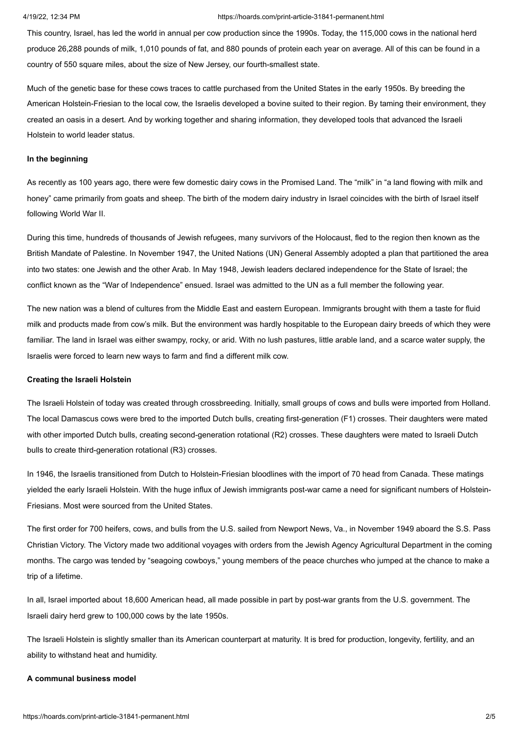This country, Israel, has led the world in annual per cow production since the 1990s. Today, the 115,000 cows in the national herd produce 26,288 pounds of milk, 1,010 pounds of fat, and 880 pounds of protein each year on average. All of this can be found in a country of 550 square miles, about the size of New Jersey, our fourth-smallest state.

Much of the genetic base for these cows traces to cattle purchased from the United States in the early 1950s. By breeding the American Holstein-Friesian to the local cow, the Israelis developed a bovine suited to their region. By taming their environment, they created an oasis in a desert. And by working together and sharing information, they developed tools that advanced the Israeli Holstein to world leader status.

### **In the beginning**

As recently as 100 years ago, there were few domestic dairy cows in the Promised Land. The "milk" in "a land flowing with milk and honey" came primarily from goats and sheep. The birth of the modern dairy industry in Israel coincides with the birth of Israel itself following World War II.

During this time, hundreds of thousands of Jewish refugees, many survivors of the Holocaust, fled to the region then known as the British Mandate of Palestine. In November 1947, the United Nations (UN) General Assembly adopted a plan that partitioned the area into two states: one Jewish and the other Arab. In May 1948, Jewish leaders declared independence for the State of Israel; the conflict known as the "War of Independence" ensued. Israel was admitted to the UN as a full member the following year.

The new nation was a blend of cultures from the Middle East and eastern European. Immigrants brought with them a taste for fluid milk and products made from cow's milk. But the environment was hardly hospitable to the European dairy breeds of which they were familiar. The land in Israel was either swampy, rocky, or arid. With no lush pastures, little arable land, and a scarce water supply, the Israelis were forced to learn new ways to farm and find a different milk cow.

### **Creating the Israeli Holstein**

The Israeli Holstein of today was created through crossbreeding. Initially, small groups of cows and bulls were imported from Holland. The local Damascus cows were bred to the imported Dutch bulls, creating first-generation (F1) crosses. Their daughters were mated with other imported Dutch bulls, creating second-generation rotational (R2) crosses. These daughters were mated to Israeli Dutch bulls to create third-generation rotational (R3) crosses.

In 1946, the Israelis transitioned from Dutch to Holstein-Friesian bloodlines with the import of 70 head from Canada. These matings yielded the early Israeli Holstein. With the huge influx of Jewish immigrants post-war came a need for significant numbers of Holstein-Friesians. Most were sourced from the United States.

The first order for 700 heifers, cows, and bulls from the U.S. sailed from Newport News, Va., in November 1949 aboard the S.S. Pass Christian Victory. The Victory made two additional voyages with orders from the Jewish Agency Agricultural Department in the coming months. The cargo was tended by "seagoing cowboys," young members of the peace churches who jumped at the chance to make a trip of a lifetime.

In all, Israel imported about 18,600 American head, all made possible in part by post-war grants from the U.S. government. The Israeli dairy herd grew to 100,000 cows by the late 1950s.

The Israeli Holstein is slightly smaller than its American counterpart at maturity. It is bred for production, longevity, fertility, and an ability to withstand heat and humidity.

### **A communal business model**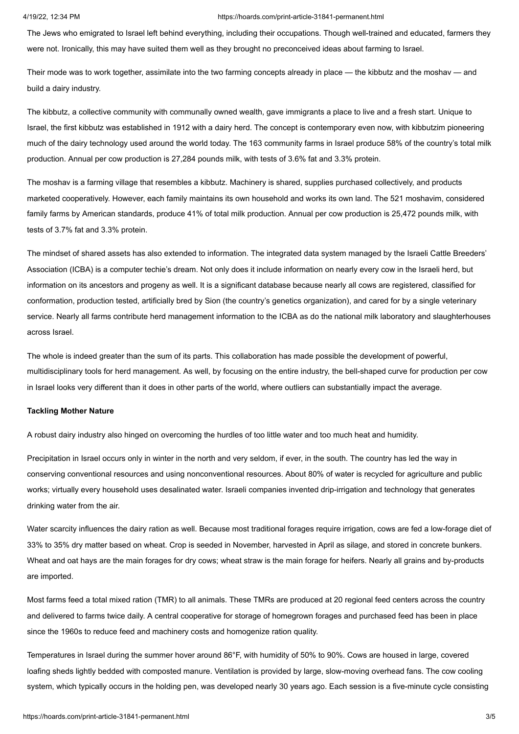The Jews who emigrated to Israel left behind everything, including their occupations. Though well-trained and educated, farmers they were not. Ironically, this may have suited them well as they brought no preconceived ideas about farming to Israel.

Their mode was to work together, assimilate into the two farming concepts already in place — the kibbutz and the moshav — and build a dairy industry.

The kibbutz, a collective community with communally owned wealth, gave immigrants a place to live and a fresh start. Unique to Israel, the first kibbutz was established in 1912 with a dairy herd. The concept is contemporary even now, with kibbutzim pioneering much of the dairy technology used around the world today. The 163 community farms in Israel produce 58% of the country's total milk production. Annual per cow production is 27,284 pounds milk, with tests of 3.6% fat and 3.3% protein.

The moshav is a farming village that resembles a kibbutz. Machinery is shared, supplies purchased collectively, and products marketed cooperatively. However, each family maintains its own household and works its own land. The 521 moshavim, considered family farms by American standards, produce 41% of total milk production. Annual per cow production is 25,472 pounds milk, with tests of 3.7% fat and 3.3% protein.

The mindset of shared assets has also extended to information. The integrated data system managed by the Israeli Cattle Breeders' Association (ICBA) is a computer techie's dream. Not only does it include information on nearly every cow in the Israeli herd, but information on its ancestors and progeny as well. It is a significant database because nearly all cows are registered, classified for conformation, production tested, artificially bred by Sion (the country's genetics organization), and cared for by a single veterinary service. Nearly all farms contribute herd management information to the ICBA as do the national milk laboratory and slaughterhouses across Israel.

The whole is indeed greater than the sum of its parts. This collaboration has made possible the development of powerful, multidisciplinary tools for herd management. As well, by focusing on the entire industry, the bell-shaped curve for production per cow in Israel looks very different than it does in other parts of the world, where outliers can substantially impact the average.

### **Tackling Mother Nature**

A robust dairy industry also hinged on overcoming the hurdles of too little water and too much heat and humidity.

Precipitation in Israel occurs only in winter in the north and very seldom, if ever, in the south. The country has led the way in conserving conventional resources and using nonconventional resources. About 80% of water is recycled for agriculture and public works; virtually every household uses desalinated water. Israeli companies invented drip-irrigation and technology that generates drinking water from the air.

Water scarcity influences the dairy ration as well. Because most traditional forages require irrigation, cows are fed a low-forage diet of 33% to 35% dry matter based on wheat. Crop is seeded in November, harvested in April as silage, and stored in concrete bunkers. Wheat and oat hays are the main forages for dry cows; wheat straw is the main forage for heifers. Nearly all grains and by-products are imported.

Most farms feed a total mixed ration (TMR) to all animals. These TMRs are produced at 20 regional feed centers across the country and delivered to farms twice daily. A central cooperative for storage of homegrown forages and purchased feed has been in place since the 1960s to reduce feed and machinery costs and homogenize ration quality.

Temperatures in Israel during the summer hover around 86°F, with humidity of 50% to 90%. Cows are housed in large, covered loafing sheds lightly bedded with composted manure. Ventilation is provided by large, slow-moving overhead fans. The cow cooling system, which typically occurs in the holding pen, was developed nearly 30 years ago. Each session is a five-minute cycle consisting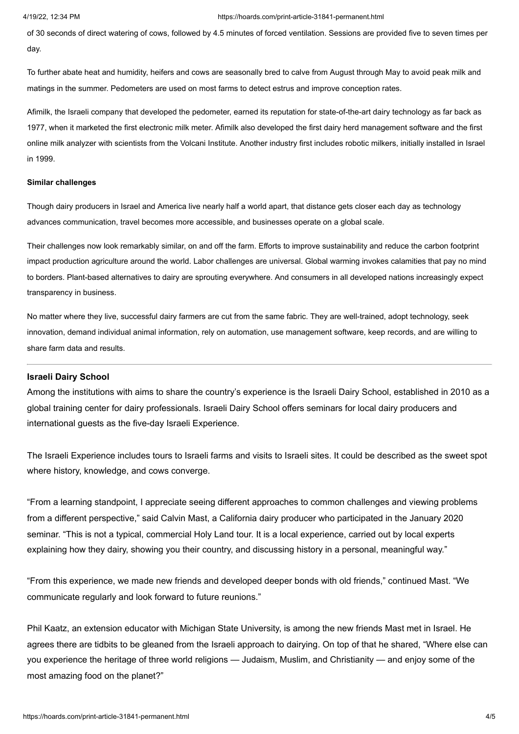of 30 seconds of direct watering of cows, followed by 4.5 minutes of forced ventilation. Sessions are provided five to seven times per day.

To further abate heat and humidity, heifers and cows are seasonally bred to calve from August through May to avoid peak milk and matings in the summer. Pedometers are used on most farms to detect estrus and improve conception rates.

Afimilk, the Israeli company that developed the pedometer, earned its reputation for state-of-the-art dairy technology as far back as 1977, when it marketed the first electronic milk meter. Afimilk also developed the first dairy herd management software and the first online milk analyzer with scientists from the Volcani Institute. Another industry first includes robotic milkers, initially installed in Israel in 1999.

### **Similar challenges**

Though dairy producers in Israel and America live nearly half a world apart, that distance gets closer each day as technology advances communication, travel becomes more accessible, and businesses operate on a global scale.

Their challenges now look remarkably similar, on and off the farm. Efforts to improve sustainability and reduce the carbon footprint impact production agriculture around the world. Labor challenges are universal. Global warming invokes calamities that pay no mind to borders. Plant-based alternatives to dairy are sprouting everywhere. And consumers in all developed nations increasingly expect transparency in business.

No matter where they live, successful dairy farmers are cut from the same fabric. They are well-trained, adopt technology, seek innovation, demand individual animal information, rely on automation, use management software, keep records, and are willing to share farm data and results.

### **Israeli Dairy School**

Among the institutions with aims to share the country's experience is the Israeli Dairy School, established in 2010 as a global training center for dairy professionals. Israeli Dairy School offers seminars for local dairy producers and international guests as the five-day Israeli Experience.

The Israeli Experience includes tours to Israeli farms and visits to Israeli sites. It could be described as the sweet spot where history, knowledge, and cows converge.

"From a learning standpoint, I appreciate seeing different approaches to common challenges and viewing problems from a different perspective," said Calvin Mast, a California dairy producer who participated in the January 2020 seminar. "This is not a typical, commercial Holy Land tour. It is a local experience, carried out by local experts explaining how they dairy, showing you their country, and discussing history in a personal, meaningful way."

"From this experience, we made new friends and developed deeper bonds with old friends," continued Mast. "We communicate regularly and look forward to future reunions."

Phil Kaatz, an extension educator with Michigan State University, is among the new friends Mast met in Israel. He agrees there are tidbits to be gleaned from the Israeli approach to dairying. On top of that he shared, "Where else can you experience the heritage of three world religions — Judaism, Muslim, and Christianity — and enjoy some of the most amazing food on the planet?"